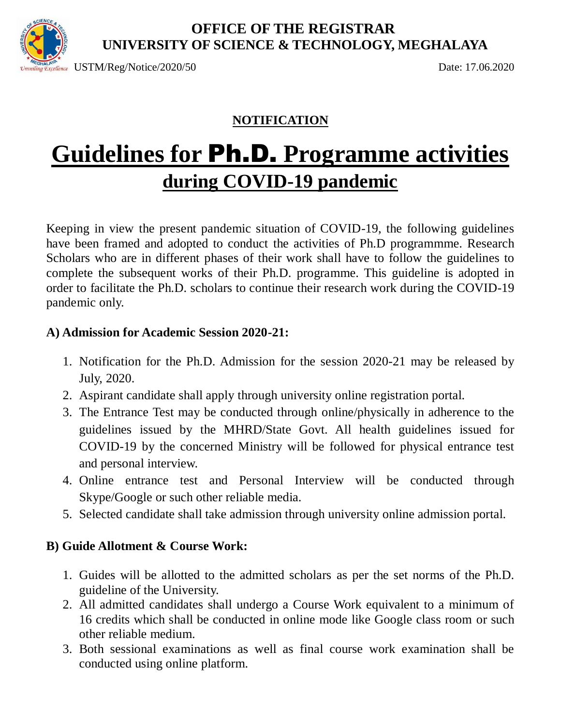

#### **OFFICE OF THE REGISTRAR UNIVERSITY OF SCIENCE & TECHNOLOGY, MEGHALAYA**

 $\frac{S_{H\text{ALA}}}{S_{H\text{M}}/S_{H\text{C}}}}$  USTM/Reg/Notice/2020/50 Date: 17.06.2020

#### **NOTIFICATION**

# **Guidelines for** Ph.D. **Programme activities during COVID-19 pandemic**

Keeping in view the present pandemic situation of COVID-19, the following guidelines have been framed and adopted to conduct the activities of Ph.D programmme. Research Scholars who are in different phases of their work shall have to follow the guidelines to complete the subsequent works of their Ph.D. programme. This guideline is adopted in order to facilitate the Ph.D. scholars to continue their research work during the COVID-19 pandemic only.

#### **A) Admission for Academic Session 2020-21:**

- 1. Notification for the Ph.D. Admission for the session 2020-21 may be released by July, 2020.
- 2. Aspirant candidate shall apply through university online registration portal.
- 3. The Entrance Test may be conducted through online/physically in adherence to the guidelines issued by the MHRD/State Govt. All health guidelines issued for COVID-19 by the concerned Ministry will be followed for physical entrance test and personal interview.
- 4. Online entrance test and Personal Interview will be conducted through Skype/Google or such other reliable media.
- 5. Selected candidate shall take admission through university online admission portal.

#### **B) Guide Allotment & Course Work:**

- 1. Guides will be allotted to the admitted scholars as per the set norms of the Ph.D. guideline of the University.
- 2. All admitted candidates shall undergo a Course Work equivalent to a minimum of 16 credits which shall be conducted in online mode like Google class room or such other reliable medium.
- 3. Both sessional examinations as well as final course work examination shall be conducted using online platform.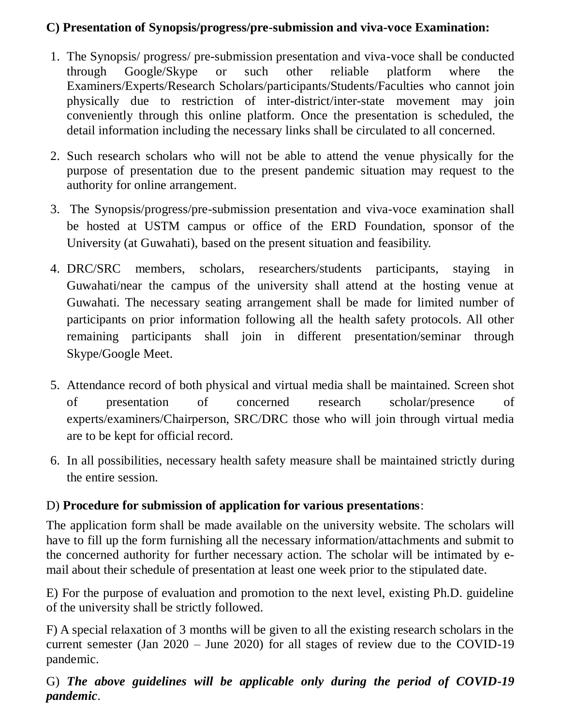#### **C) Presentation of Synopsis/progress/pre-submission and viva-voce Examination:**

- 1. The Synopsis/ progress/ pre-submission presentation and viva-voce shall be conducted through Google/Skype or such other reliable platform where the Examiners/Experts/Research Scholars/participants/Students/Faculties who cannot join physically due to restriction of inter-district/inter-state movement may join conveniently through this online platform. Once the presentation is scheduled, the detail information including the necessary links shall be circulated to all concerned.
- 2. Such research scholars who will not be able to attend the venue physically for the purpose of presentation due to the present pandemic situation may request to the authority for online arrangement.
- 3. The Synopsis/progress/pre-submission presentation and viva-voce examination shall be hosted at USTM campus or office of the ERD Foundation, sponsor of the University (at Guwahati), based on the present situation and feasibility.
- 4. DRC/SRC members, scholars, researchers/students participants, staying in Guwahati/near the campus of the university shall attend at the hosting venue at Guwahati. The necessary seating arrangement shall be made for limited number of participants on prior information following all the health safety protocols. All other remaining participants shall join in different presentation/seminar through Skype/Google Meet.
- 5. Attendance record of both physical and virtual media shall be maintained. Screen shot of presentation of concerned research scholar/presence of experts/examiners/Chairperson, SRC/DRC those who will join through virtual media are to be kept for official record.
- 6. In all possibilities, necessary health safety measure shall be maintained strictly during the entire session.

#### D) **Procedure for submission of application for various presentations**:

The application form shall be made available on the university website. The scholars will have to fill up the form furnishing all the necessary information/attachments and submit to the concerned authority for further necessary action. The scholar will be intimated by email about their schedule of presentation at least one week prior to the stipulated date.

E) For the purpose of evaluation and promotion to the next level, existing Ph.D. guideline of the university shall be strictly followed.

F) A special relaxation of 3 months will be given to all the existing research scholars in the current semester (Jan 2020 – June 2020) for all stages of review due to the COVID-19 pandemic.

G) *The above guidelines will be applicable only during the period of COVID-19 pandemic*.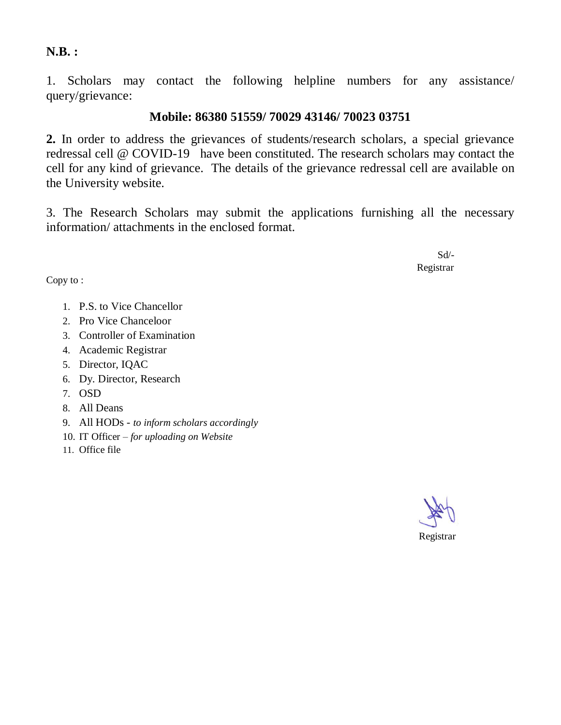**N.B. :**

1. Scholars may contact the following helpline numbers for any assistance/ query/grievance:

#### **Mobile: 86380 51559/ 70029 43146/ 70023 03751**

**2.** In order to address the grievances of students/research scholars, a special grievance redressal cell @ COVID-19 have been constituted. The research scholars may contact the cell for any kind of grievance. The details of the grievance redressal cell are available on the University website.

3. The Research Scholars may submit the applications furnishing all the necessary information/ attachments in the enclosed format.

 Sd/- Registrar

Copy to :

- 1. P.S. to Vice Chancellor
- 2. Pro Vice Chanceloor
- 3. Controller of Examination
- 4. Academic Registrar
- 5. Director, IQAC
- 6. Dy. Director, Research
- 7. OSD
- 8. All Deans
- 9. All HODs *to inform scholars accordingly*
- 10. IT Officer *for uploading on Website*
- 11. Office file

Registrar